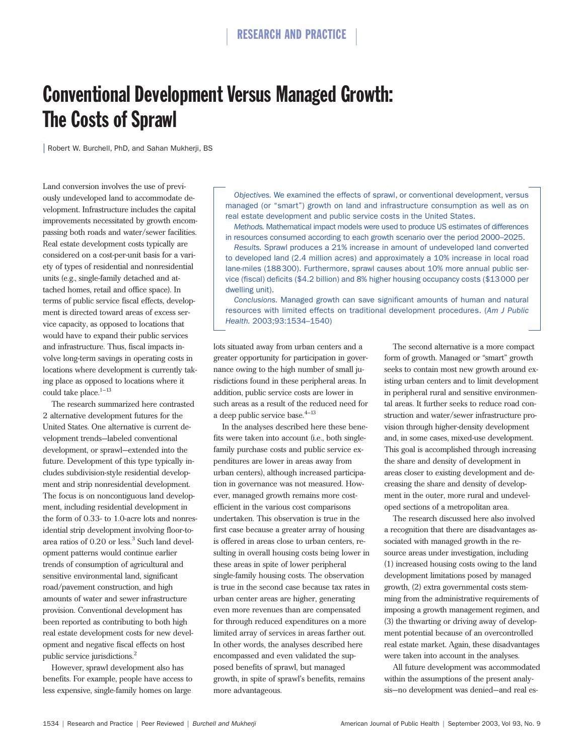# Conventional Development Versus Managed Growth: The Costs of Sprawl

| Robert W. Burchell, PhD, and Sahan Mukherji, BS

Land conversion involves the use of previously undeveloped land to accommodate development. Infrastructure includes the capital improvements necessitated by growth encompassing both roads and water/sewer facilities. Real estate development costs typically are considered on a cost-per-unit basis for a variety of types of residential and nonresidential units (e.g., single-family detached and attached homes, retail and office space). In terms of public service fiscal effects, development is directed toward areas of excess service capacity, as opposed to locations that would have to expand their public services and infrastructure. Thus, fiscal impacts involve long-term savings in operating costs in locations where development is currently taking place as opposed to locations where it could take place.  $^{\rm 1-13}$ 

The research summarized here contrasted 2 alternative development futures for the United States. One alternative is current development trends—labeled conventional development, or sprawl—extended into the future. Development of this type typically includes subdivision-style residential development and strip nonresidential development. The focus is on noncontiguous land development, including residential development in the form of 0.33- to 1.0-acre lots and nonresidential strip development involving floor-toarea ratios of  $0.20$  or less.<sup>3</sup> Such land development patterns would continue earlier trends of consumption of agricultural and sensitive environmental land, significant road/pavement construction, and high amounts of water and sewer infrastructure provision. Conventional development has been reported as contributing to both high real estate development costs for new development and negative fiscal effects on host public service jurisdictions.<sup>2</sup>

However, sprawl development also has benefits. For example, people have access to less expensive, single-family homes on large

*Objectives.* We examined the effects of sprawl, or conventional development, versus managed (or "smart") growth on land and infrastructure consumption as well as on real estate development and public service costs in the United States.

*Methods.* Mathematical impact models were used to produce US estimates of differences in resources consumed according to each growth scenario over the period 2000–2025.

*Results.* Sprawl produces a 21% increase in amount of undeveloped land converted to developed land (2.4 million acres) and approximately a 10% increase in local road lane-miles (188300). Furthermore, sprawl causes about 10% more annual public service (fiscal) deficits (\$4.2 billion) and 8% higher housing occupancy costs (\$13000 per dwelling unit).

*Conclusions.* Managed growth can save significant amounts of human and natural resources with limited effects on traditional development procedures. (*Am J Public Health.* 2003;93:1534–1540)

lots situated away from urban centers and a greater opportunity for participation in governance owing to the high number of small jurisdictions found in these peripheral areas. In addition, public service costs are lower in such areas as a result of the reduced need for a deep public service base.  $\real^{4-13}$ 

In the analyses described here these benefits were taken into account (i.e., both singlefamily purchase costs and public service expenditures are lower in areas away from urban centers), although increased participation in governance was not measured. However, managed growth remains more costefficient in the various cost comparisons undertaken. This observation is true in the first case because a greater array of housing is offered in areas close to urban centers, resulting in overall housing costs being lower in these areas in spite of lower peripheral single-family housing costs. The observation is true in the second case because tax rates in urban center areas are higher, generating even more revenues than are compensated for through reduced expenditures on a more limited array of services in areas farther out. In other words, the analyses described here encompassed and even validated the supposed benefits of sprawl, but managed growth, in spite of sprawl's benefits, remains more advantageous.

The second alternative is a more compact form of growth. Managed or "smart" growth seeks to contain most new growth around existing urban centers and to limit development in peripheral rural and sensitive environmental areas. It further seeks to reduce road construction and water/sewer infrastructure provision through higher-density development and, in some cases, mixed-use development. This goal is accomplished through increasing the share and density of development in areas closer to existing development and decreasing the share and density of development in the outer, more rural and undeveloped sections of a metropolitan area.

The research discussed here also involved a recognition that there are disadvantages associated with managed growth in the resource areas under investigation, including (1) increased housing costs owing to the land development limitations posed by managed growth, (2) extra governmental costs stemming from the administrative requirements of imposing a growth management regimen, and (3) the thwarting or driving away of development potential because of an overcontrolled real estate market. Again, these disadvantages were taken into account in the analyses.

All future development was accommodated within the assumptions of the present analysis—no development was denied—and real es-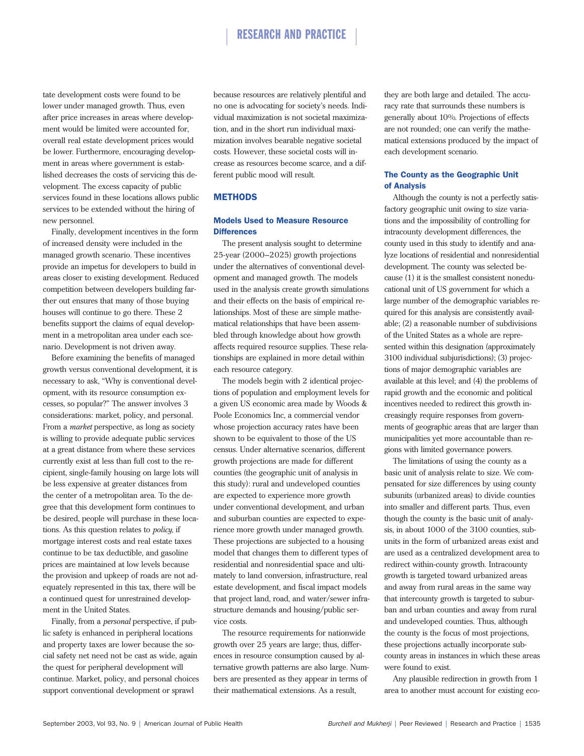tate development costs were found to be lower under managed growth. Thus, even after price increases in areas where development would be limited were accounted for, overall real estate development prices would be lower. Furthermore, encouraging development in areas where government is established decreases the costs of servicing this development. The excess capacity of public services found in these locations allows public services to be extended without the hiring of new personnel.

Finally, development incentives in the form of increased density were included in the managed growth scenario. These incentives provide an impetus for developers to build in areas closer to existing development. Reduced competition between developers building farther out ensures that many of those buying houses will continue to go there. These 2 benefits support the claims of equal development in a metropolitan area under each scenario. Development is not driven away.

Before examining the benefits of managed growth versus conventional development, it is necessary to ask, "Why is conventional development, with its resource consumption excesses, so popular?" The answer involves 3 considerations: market, policy, and personal. From a *market* perspective, as long as society is willing to provide adequate public services at a great distance from where these services currently exist at less than full cost to the recipient, single-family housing on large lots will be less expensive at greater distances from the center of a metropolitan area. To the degree that this development form continues to be desired, people will purchase in these locations. As this question relates to *policy,* if mortgage interest costs and real estate taxes continue to be tax deductible, and gasoline prices are maintained at low levels because the provision and upkeep of roads are not adequately represented in this tax, there will be a continued quest for unrestrained development in the United States.

Finally, from a *personal* perspective, if public safety is enhanced in peripheral locations and property taxes are lower because the social safety net need not be cast as wide, again the quest for peripheral development will continue. Market, policy, and personal choices support conventional development or sprawl

because resources are relatively plentiful and no one is advocating for society's needs. Individual maximization is not societal maximization, and in the short run individual maximization involves bearable negative societal costs. However, these societal costs will increase as resources become scarce, and a different public mood will result.

# **METHODS**

# Models Used to Measure Resource **Differences**

The present analysis sought to determine 25-year (2000–2025) growth projections under the alternatives of conventional development and managed growth. The models used in the analysis create growth simulations and their effects on the basis of empirical relationships. Most of these are simple mathematical relationships that have been assembled through knowledge about how growth affects required resource supplies. These relationships are explained in more detail within each resource category.

The models begin with 2 identical projections of population and employment levels for a given US economic area made by Woods & Poole Economics Inc, a commercial vendor whose projection accuracy rates have been shown to be equivalent to those of the US census. Under alternative scenarios, different growth projections are made for different counties (the geographic unit of analysis in this study): rural and undeveloped counties are expected to experience more growth under conventional development, and urban and suburban counties are expected to experience more growth under managed growth. These projections are subjected to a housing model that changes them to different types of residential and nonresidential space and ultimately to land conversion, infrastructure, real estate development, and fiscal impact models that project land, road, and water/sewer infrastructure demands and housing/public service costs.

The resource requirements for nationwide growth over 25 years are large; thus, differences in resource consumption caused by alternative growth patterns are also large. Numbers are presented as they appear in terms of their mathematical extensions. As a result,

they are both large and detailed. The accuracy rate that surrounds these numbers is generally about 10%. Projections of effects are not rounded; one can verify the mathematical extensions produced by the impact of each development scenario.

## The County as the Geographic Unit of Analysis

Although the county is not a perfectly satisfactory geographic unit owing to size variations and the impossibility of controlling for intracounty development differences, the county used in this study to identify and analyze locations of residential and nonresidential development. The county was selected because (1) it is the smallest consistent noneducational unit of US government for which a large number of the demographic variables required for this analysis are consistently available; (2) a reasonable number of subdivisions of the United States as a whole are represented within this designation (approximately 3100 individual subjurisdictions); (3) projections of major demographic variables are available at this level; and (4) the problems of rapid growth and the economic and political incentives needed to redirect this growth increasingly require responses from governments of geographic areas that are larger than municipalities yet more accountable than regions with limited governance powers.

The limitations of using the county as a basic unit of analysis relate to size. We compensated for size differences by using county subunits (urbanized areas) to divide counties into smaller and different parts. Thus, even though the county is the basic unit of analysis, in about 1000 of the 3100 counties, subunits in the form of urbanized areas exist and are used as a centralized development area to redirect within-county growth. Intracounty growth is targeted toward urbanized areas and away from rural areas in the same way that intercounty growth is targeted to suburban and urban counties and away from rural and undeveloped counties. Thus, although the county is the focus of most projections, these projections actually incorporate subcounty areas in instances in which these areas were found to exist.

Any plausible redirection in growth from 1 area to another must account for existing eco-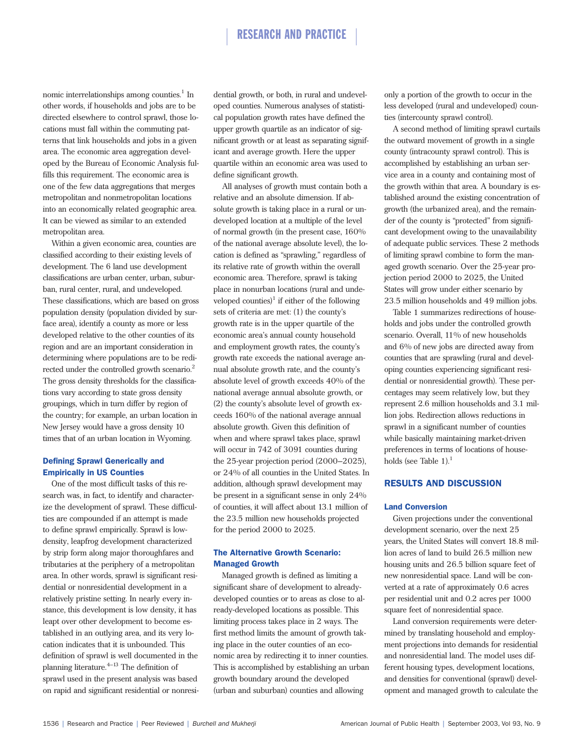nomic interrelationships among counties.<sup>1</sup> In other words, if households and jobs are to be directed elsewhere to control sprawl, those locations must fall within the commuting patterns that link households and jobs in a given area. The economic area aggregation developed by the Bureau of Economic Analysis fulfills this requirement. The economic area is one of the few data aggregations that merges metropolitan and nonmetropolitan locations into an economically related geographic area. It can be viewed as similar to an extended metropolitan area.

Within a given economic area, counties are classified according to their existing levels of development. The 6 land use development classifications are urban center, urban, suburban, rural center, rural, and undeveloped. These classifications, which are based on gross population density (population divided by surface area), identify a county as more or less developed relative to the other counties of its region and are an important consideration in determining where populations are to be redirected under the controlled growth scenario.<sup>2</sup> The gross density thresholds for the classifications vary according to state gross density groupings, which in turn differ by region of the country; for example, an urban location in New Jersey would have a gross density 10 times that of an urban location in Wyoming.

# Defining Sprawl Generically and Empirically in US Counties

One of the most difficult tasks of this research was, in fact, to identify and characterize the development of sprawl. These difficulties are compounded if an attempt is made to define sprawl empirically. Sprawl is lowdensity, leapfrog development characterized by strip form along major thoroughfares and tributaries at the periphery of a metropolitan area. In other words, sprawl is significant residential or nonresidential development in a relatively pristine setting. In nearly every instance, this development is low density, it has leapt over other development to become established in an outlying area, and its very location indicates that it is unbounded. This definition of sprawl is well documented in the planning literature. $4-13$  The definition of sprawl used in the present analysis was based on rapid and significant residential or nonresidential growth, or both, in rural and undeveloped counties. Numerous analyses of statistical population growth rates have defined the upper growth quartile as an indicator of significant growth or at least as separating significant and average growth. Here the upper quartile within an economic area was used to define significant growth.

All analyses of growth must contain both a relative and an absolute dimension. If absolute growth is taking place in a rural or undeveloped location at a multiple of the level of normal growth (in the present case, 160% of the national average absolute level), the location is defined as "sprawling," regardless of its relative rate of growth within the overall economic area. Therefore, sprawl is taking place in nonurban locations (rural and undeveloped counties) $<sup>1</sup>$  if either of the following</sup> sets of criteria are met: (1) the county's growth rate is in the upper quartile of the economic area's annual county household and employment growth rates, the county's growth rate exceeds the national average annual absolute growth rate, and the county's absolute level of growth exceeds 40% of the national average annual absolute growth, or (2) the county's absolute level of growth exceeds 160% of the national average annual absolute growth. Given this definition of when and where sprawl takes place, sprawl will occur in 742 of 3091 counties during the 25-year projection period (2000–2025), or 24% of all counties in the United States. In addition, although sprawl development may be present in a significant sense in only 24% of counties, it will affect about 13.1 million of the 23.5 million new households projected for the period 2000 to 2025.

# The Alternative Growth Scenario: Managed Growth

Managed growth is defined as limiting a significant share of development to alreadydeveloped counties or to areas as close to already-developed locations as possible. This limiting process takes place in 2 ways. The first method limits the amount of growth taking place in the outer counties of an economic area by redirecting it to inner counties. This is accomplished by establishing an urban growth boundary around the developed (urban and suburban) counties and allowing

only a portion of the growth to occur in the less developed (rural and undeveloped) counties (intercounty sprawl control).

A second method of limiting sprawl curtails the outward movement of growth in a single county (intracounty sprawl control). This is accomplished by establishing an urban service area in a county and containing most of the growth within that area. A boundary is established around the existing concentration of growth (the urbanized area), and the remainder of the county is "protected" from significant development owing to the unavailability of adequate public services. These 2 methods of limiting sprawl combine to form the managed growth scenario. Over the 25-year projection period 2000 to 2025, the United States will grow under either scenario by 23.5 million households and 49 million jobs.

Table 1 summarizes redirections of households and jobs under the controlled growth scenario. Overall, 11% of new households and 6% of new jobs are directed away from counties that are sprawling (rural and developing counties experiencing significant residential or nonresidential growth). These percentages may seem relatively low, but they represent 2.6 million households and 3.1 million jobs. Redirection allows reductions in sprawl in a significant number of counties while basically maintaining market-driven preferences in terms of locations of households (see Table  $1$ ).<sup>1</sup>

### RESULTS AND DISCUSSION

### Land Conversion

Given projections under the conventional development scenario, over the next 25 years, the United States will convert 18.8 million acres of land to build 26.5 million new housing units and 26.5 billion square feet of new nonresidential space. Land will be converted at a rate of approximately 0.6 acres per residential unit and 0.2 acres per 1000 square feet of nonresidential space.

Land conversion requirements were determined by translating household and employment projections into demands for residential and nonresidential land. The model uses different housing types, development locations, and densities for conventional (sprawl) development and managed growth to calculate the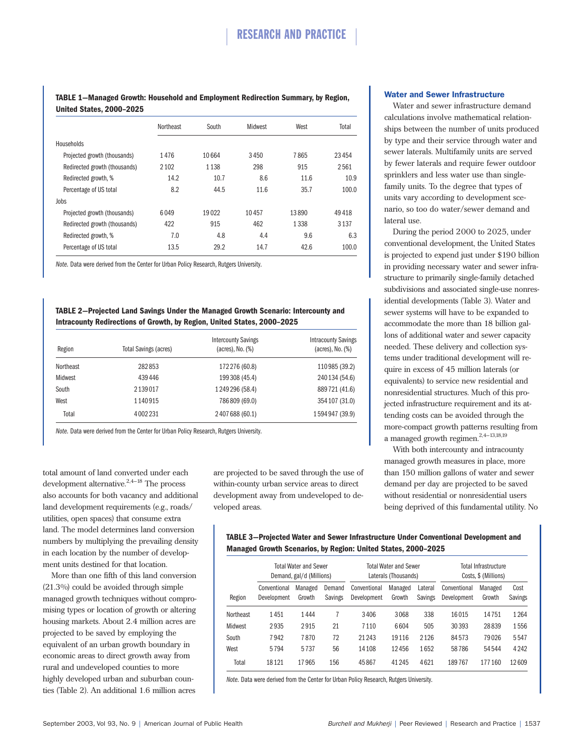# **TABLE 1—Managed Growth: Household and Employment Redirection Summary, by Region, United States, 2000–2025**

|                               | Northeast | South | Midwest | West  | Total |
|-------------------------------|-----------|-------|---------|-------|-------|
| Households                    |           |       |         |       |       |
| Projected growth (thousands)  | 1476      | 10664 | 3450    | 7865  | 23454 |
| Redirected growth (thousands) | 2102      | 1138  | 298     | 915   | 2561  |
| Redirected growth, %          | 14.2      | 10.7  | 8.6     | 11.6  | 10.9  |
| Percentage of US total        | 8.2       | 44.5  | 11.6    | 35.7  | 100.0 |
| Jobs                          |           |       |         |       |       |
| Projected growth (thousands)  | 6049      | 19022 | 10457   | 13890 | 49418 |
| Redirected growth (thousands) | 422       | 915   | 462     | 1338  | 3137  |
| Redirected growth, %          | 7.0       | 4.8   | 4.4     | 9.6   | 6.3   |
| Percentage of US total        | 13.5      | 29.2  | 14.7    | 42.6  | 100.0 |
|                               |           |       |         |       |       |

*Note.* Data were derived from the Center for Urban Policy Research, Rutgers University.

### **TABLE 2—Projected Land Savings Under the Managed Growth Scenario: Intercounty and Intracounty Redirections of Growth, by Region, United States, 2000–2025**

| Region    | <b>Total Savings (acres)</b> | <b>Intercounty Savings</b><br>(acres), No. (%) | <b>Intracounty Savings</b><br>$(\text{acres})$ , No. $(\%)$ |
|-----------|------------------------------|------------------------------------------------|-------------------------------------------------------------|
| Northeast | 282853                       | 172 276 (60.8)                                 | 110 985 (39.2)                                              |
| Midwest   | 439 446                      | 199 308 (45.4)                                 | 240 134 (54.6)                                              |
| South     | 2139017                      | 1249296 (58.4)                                 | 889 721 (41.6)                                              |
| West      | 1140915                      | 786809 (69.0)                                  | 354 107 (31.0)                                              |
| Total     | 4002231                      | 2407688 (60.1)                                 | 1594947 (39.9)                                              |

*Note.* Data were derived from the Center for Urban Policy Research, Rutgers University.

total amount of land converted under each development alternative.<sup>2,4-18</sup> The process also accounts for both vacancy and additional land development requirements (e.g., roads/ utilities, open spaces) that consume extra land. The model determines land conversion numbers by multiplying the prevailing density in each location by the number of development units destined for that location.

More than one fifth of this land conversion (21.3%) could be avoided through simple managed growth techniques without compromising types or location of growth or altering housing markets. About 2.4 million acres are projected to be saved by employing the equivalent of an urban growth boundary in economic areas to direct growth away from rural and undeveloped counties to more highly developed urban and suburban counties (Table 2). An additional 1.6 million acres

are projected to be saved through the use of within-county urban service areas to direct development away from undeveloped to developed areas.

# Water and Sewer Infrastructure

Water and sewer infrastructure demand calculations involve mathematical relationships between the number of units produced by type and their service through water and sewer laterals. Multifamily units are served by fewer laterals and require fewer outdoor sprinklers and less water use than singlefamily units. To the degree that types of units vary according to development scenario, so too do water/sewer demand and lateral use.

During the period 2000 to 2025, under conventional development, the United States is projected to expend just under \$190 billion in providing necessary water and sewer infrastructure to primarily single-family detached subdivisions and associated single-use nonresidential developments (Table 3). Water and sewer systems will have to be expanded to accommodate the more than 18 billion gallons of additional water and sewer capacity needed. These delivery and collection systems under traditional development will require in excess of 45 million laterals (or equivalents) to service new residential and nonresidential structures. Much of this projected infrastructure requirement and its attending costs can be avoided through the more-compact growth patterns resulting from a managed growth regimen.  $^{\!2,4-13,18,19}\!$ 

With both intercounty and intracounty managed growth measures in place, more than 150 million gallons of water and sewer demand per day are projected to be saved without residential or nonresidential users being deprived of this fundamental utility. No

# **TABLE 3—Projected Water and Sewer Infrastructure Under Conventional Development and Managed Growth Scenarios, by Region: United States, 2000–2025**

|           | <b>Total Water and Sewer</b><br>Demand, gal/d (Millions) |                   |                          | <b>Total Water and Sewer</b><br>Laterals (Thousands) |                   |                           | Total Infrastructure<br>Costs, \$ (Millions) |                   |                        |
|-----------|----------------------------------------------------------|-------------------|--------------------------|------------------------------------------------------|-------------------|---------------------------|----------------------------------------------|-------------------|------------------------|
| Region    | Conventional<br>Development                              | Managed<br>Growth | Demand<br><b>Savings</b> | Conventional<br>Development                          | Managed<br>Growth | Lateral<br><b>Savings</b> | Conventional<br>Development                  | Managed<br>Growth | Cost<br><b>Savings</b> |
| Northeast | 1451                                                     | 1444              |                          | 3406                                                 | 3068              | 338                       | 16015                                        | 14751             | 1264                   |
| Midwest   | 2935                                                     | 2915              | 21                       | 7110                                                 | 6604              | 505                       | 30393                                        | 28839             | 1556                   |
| South     | 7942                                                     | 7870              | 72                       | 21 2 4 3                                             | 19116             | 2126                      | 84573                                        | 79026             | 5547                   |
| West      | 5794                                                     | 5737              | 56                       | 14108                                                | 12456             | 1652                      | 58786                                        | 54544             | 4242                   |
| Total     | 18121                                                    | 17965             | 156                      | 45867                                                | 41 245            | 4621                      | 189767                                       | 177160            | 12609                  |

*Note.* Data were derived from the Center for Urban Policy Research, Rutgers University.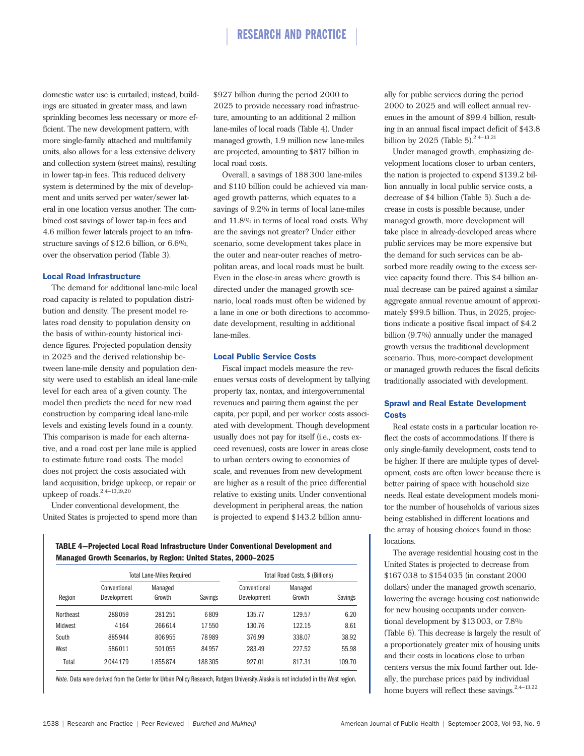domestic water use is curtailed; instead, buildings are situated in greater mass, and lawn sprinkling becomes less necessary or more efficient. The new development pattern, with more single-family attached and multifamily units, also allows for a less extensive delivery and collection system (street mains), resulting in lower tap-in fees. This reduced delivery system is determined by the mix of development and units served per water/sewer lateral in one location versus another. The combined cost savings of lower tap-in fees and 4.6 million fewer laterals project to an infrastructure savings of \$12.6 billion, or 6.6%, over the observation period (Table 3).

#### Local Road Infrastructure

The demand for additional lane-mile local road capacity is related to population distribution and density. The present model relates road density to population density on the basis of within-county historical incidence figures. Projected population density in 2025 and the derived relationship between lane-mile density and population density were used to establish an ideal lane-mile level for each area of a given county. The model then predicts the need for new road construction by comparing ideal lane-mile levels and existing levels found in a county. This comparison is made for each alternative, and a road cost per lane mile is applied to estimate future road costs. The model does not project the costs associated with land acquisition, bridge upkeep, or repair or upkeep of roads.<sup>2,4-13,19,20</sup>

Under conventional development, the United States is projected to spend more than

\$927 billion during the period 2000 to 2025 to provide necessary road infrastructure, amounting to an additional 2 million lane-miles of local roads (Table 4). Under managed growth, 1.9 million new lane-miles are projected, amounting to \$817 billion in local road costs.

Overall, a savings of 188300 lane-miles and \$110 billion could be achieved via managed growth patterns, which equates to a savings of 9.2% in terms of local lane-miles and 11.8% in terms of local road costs. Why are the savings not greater? Under either scenario, some development takes place in the outer and near-outer reaches of metropolitan areas, and local roads must be built. Even in the close-in areas where growth is directed under the managed growth scenario, local roads must often be widened by a lane in one or both directions to accommodate development, resulting in additional lane-miles.

### Local Public Service Costs

Fiscal impact models measure the revenues versus costs of development by tallying property tax, nontax, and intergovernmental revenues and pairing them against the per capita, per pupil, and per worker costs associated with development. Though development usually does not pay for itself (i.e., costs exceed revenues), costs are lower in areas close to urban centers owing to economies of scale, and revenues from new development are higher as a result of the price differential relative to existing units. Under conventional development in peripheral areas, the nation is projected to expend \$143.2 billion annu-

**TABLE 4—Projected Local Road Infrastructure Under Conventional Development and Managed Growth Scenarios, by Region: United States, 2000–2025**

|           |                             | <b>Total Lane-Miles Required</b> |         | Total Road Costs, \$ (Billions) |                   |         |  |
|-----------|-----------------------------|----------------------------------|---------|---------------------------------|-------------------|---------|--|
| Region    | Conventional<br>Development | Managed<br>Growth                | Savings | Conventional<br>Development     | Managed<br>Growth | Savings |  |
| Northeast | 288059                      | 281251                           | 6809    | 135.77                          | 129.57            | 6.20    |  |
| Midwest   | 4164                        | 266614                           | 17550   | 130.76                          | 122.15            | 8.61    |  |
| South     | 885944                      | 806955                           | 78989   | 376.99                          | 338.07            | 38.92   |  |
| West      | 586011                      | 501055                           | 84957   | 283.49                          | 227.52            | 55.98   |  |
| Total     | 2044179                     | 1855874                          | 188305  | 927.01                          | 817.31            | 109.70  |  |

*Note.* Data were derived from the Center for Urban Policy Research, Rutgers University.Alaska is not included in the West region.

ally for public services during the period 2000 to 2025 and will collect annual revenues in the amount of \$99.4 billion, resulting in an annual fiscal impact deficit of \$43.8 billion by 2025 (Table 5).<sup>2,4-13,21</sup>

Under managed growth, emphasizing development locations closer to urban centers, the nation is projected to expend \$139.2 billion annually in local public service costs, a decrease of \$4 billion (Table 5). Such a decrease in costs is possible because, under managed growth, more development will take place in already-developed areas where public services may be more expensive but the demand for such services can be absorbed more readily owing to the excess service capacity found there. This \$4 billion annual decrease can be paired against a similar aggregate annual revenue amount of approximately \$99.5 billion. Thus, in 2025, projections indicate a positive fiscal impact of \$4.2 billion (9.7%) annually under the managed growth versus the traditional development scenario. Thus, more-compact development or managed growth reduces the fiscal deficits traditionally associated with development.

# Sprawl and Real Estate Development **Costs**

Real estate costs in a particular location reflect the costs of accommodations. If there is only single-family development, costs tend to be higher. If there are multiple types of development, costs are often lower because there is better pairing of space with household size needs. Real estate development models monitor the number of households of various sizes being established in different locations and the array of housing choices found in those locations.

The average residential housing cost in the United States is projected to decrease from \$167038 to \$154035 (in constant 2000 dollars) under the managed growth scenario, lowering the average housing cost nationwide for new housing occupants under conventional development by \$13003, or 7.8% (Table 6). This decrease is largely the result of a proportionately greater mix of housing units and their costs in locations close to urban centers versus the mix found farther out. Ideally, the purchase prices paid by individual home buyers will reflect these savings. $2,4-13,22$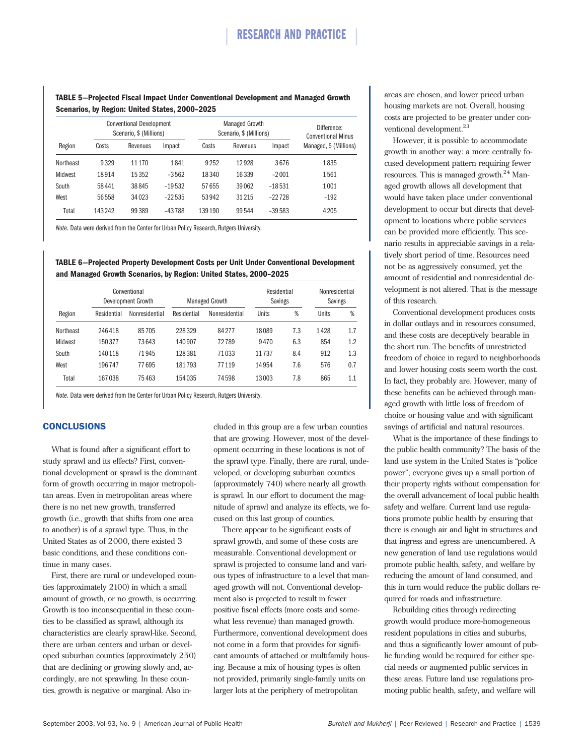# **TABLE 5—Projected Fiscal Impact Under Conventional Development and Managed Growth Scenarios, by Region: United States, 2000–2025**

|           |        | <b>Conventional Development</b><br>Scenario, \$ (Millions) |          |         | Managed Growth<br>Scenario, \$ (Millions) | Difference:<br><b>Conventional Minus</b> |                        |
|-----------|--------|------------------------------------------------------------|----------|---------|-------------------------------------------|------------------------------------------|------------------------|
| Region    | Costs  | Revenues                                                   | Impact   | Costs   | Revenues                                  | Impact                                   | Managed, \$ (Millions) |
| Northeast | 9329   | 11170                                                      | 1841     | 9252    | 12928                                     | 3676                                     | 1835                   |
| Midwest   | 18914  | 15352                                                      | $-3562$  | 18340   | 16339                                     | $-2001$                                  | 1561                   |
| South     | 58441  | 38845                                                      | $-19532$ | 57655   | 39062                                     | $-18531$                                 | 1001                   |
| West      | 56558  | 34023                                                      | $-22535$ | 53942   | 31 2 15                                   | $-22728$                                 | $-192$                 |
| Total     | 143242 | 99389                                                      | $-43788$ | 139 190 | 99544                                     | $-39583$                                 | 4 2 0 5                |

*Note.* Data were derived from the Center for Urban Policy Research, Rutgers University.

# **TABLE 6—Projected Property Development Costs per Unit Under Conventional Development and Managed Growth Scenarios, by Region: United States, 2000–2025**

|           | Conventional<br>Development Growth |                | Managed Growth |                | Residential<br>Savings |     | Nonresidential<br>Savings |     |
|-----------|------------------------------------|----------------|----------------|----------------|------------------------|-----|---------------------------|-----|
| Region    | Residential                        | Nonresidential | Residential    | Nonresidential | Units                  | %   | Units                     | %   |
| Northeast | 246418                             | 85705          | 228329         | 84277          | 18089                  | 7.3 | 1428                      | 1.7 |
| Midwest   | 150377                             | 73643          | 140907         | 72789          | 9470                   | 6.3 | 854                       | 1.2 |
| South     | 140118                             | 71945          | 128381         | 71033          | 11737                  | 8.4 | 912                       | 1.3 |
| West      | 196747                             | 77695          | 181793         | 77119          | 14954                  | 7.6 | 576                       | 0.7 |
| Total     | 167038                             | 75463          | 154035         | 74598          | 13003                  | 7.8 | 865                       | 1.1 |

*Note.* Data were derived from the Center for Urban Policy Research, Rutgers University.

### CONCLUSIONS

What is found after a significant effort to study sprawl and its effects? First, conventional development or sprawl is the dominant form of growth occurring in major metropolitan areas. Even in metropolitan areas where there is no net new growth, transferred growth (i.e., growth that shifts from one area to another) is of a sprawl type. Thus, in the United States as of 2000, there existed 3 basic conditions, and these conditions continue in many cases.

First, there are rural or undeveloped counties (approximately 2100) in which a small amount of growth, or no growth, is occurring. Growth is too inconsequential in these counties to be classified as sprawl, although its characteristics are clearly sprawl-like. Second, there are urban centers and urban or developed suburban counties (approximately 250) that are declining or growing slowly and, accordingly, are not sprawling. In these counties, growth is negative or marginal. Also included in this group are a few urban counties that are growing. However, most of the development occurring in these locations is not of the sprawl type. Finally, there are rural, undeveloped, or developing suburban counties (approximately 740) where nearly all growth is sprawl. In our effort to document the magnitude of sprawl and analyze its effects, we focused on this last group of counties.

There appear to be significant costs of sprawl growth, and some of these costs are measurable. Conventional development or sprawl is projected to consume land and various types of infrastructure to a level that managed growth will not. Conventional development also is projected to result in fewer positive fiscal effects (more costs and somewhat less revenue) than managed growth. Furthermore, conventional development does not come in a form that provides for significant amounts of attached or multifamily housing. Because a mix of housing types is often not provided, primarily single-family units on larger lots at the periphery of metropolitan

areas are chosen, and lower priced urban housing markets are not. Overall, housing costs are projected to be greater under conventional development.<sup>23</sup>

However, it is possible to accommodate growth in another way: a more centrally focused development pattern requiring fewer resources. This is managed growth.<sup>24</sup> Managed growth allows all development that would have taken place under conventional development to occur but directs that development to locations where public services can be provided more efficiently. This scenario results in appreciable savings in a relatively short period of time. Resources need not be as aggressively consumed, yet the amount of residential and nonresidential development is not altered. That is the message of this research.

Conventional development produces costs in dollar outlays and in resources consumed, and these costs are deceptively bearable in the short run. The benefits of unrestricted freedom of choice in regard to neighborhoods and lower housing costs seem worth the cost. In fact, they probably are. However, many of these benefits can be achieved through managed growth with little loss of freedom of choice or housing value and with significant savings of artificial and natural resources.

What is the importance of these findings to the public health community? The basis of the land use system in the United States is "police power"; everyone gives up a small portion of their property rights without compensation for the overall advancement of local public health safety and welfare. Current land use regulations promote public health by ensuring that there is enough air and light in structures and that ingress and egress are unencumbered. A new generation of land use regulations would promote public health, safety, and welfare by reducing the amount of land consumed, and this in turn would reduce the public dollars required for roads and infrastructure.

Rebuilding cities through redirecting growth would produce more-homogeneous resident populations in cities and suburbs, and thus a significantly lower amount of public funding would be required for either special needs or augmented public services in these areas. Future land use regulations promoting public health, safety, and welfare will